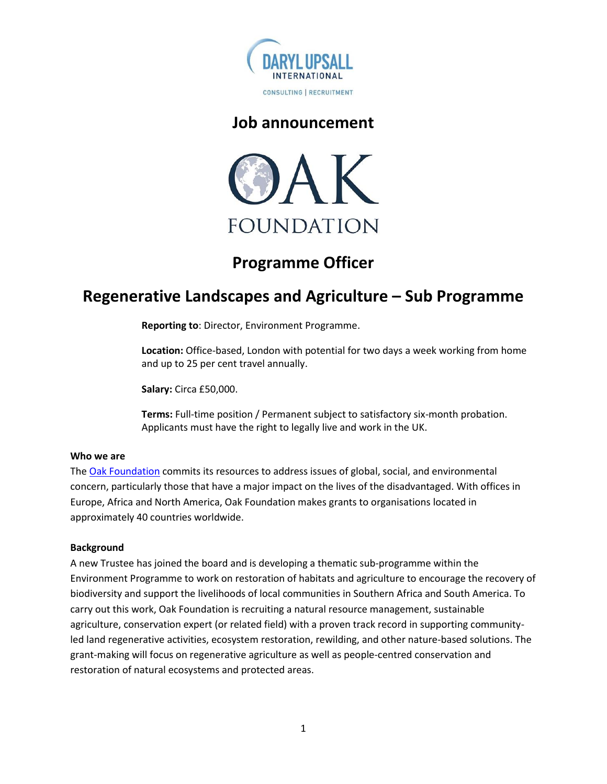

### **Job announcement**



# **Programme Officer**

## **Regenerative Landscapes and Agriculture – Sub Programme**

**Reporting to**: Director, Environment Programme.

**Location:** Office-based, London with potential for two days a week working from home and up to 25 per cent travel annually.

**Salary:** Circa £50,000.

**Terms:** Full-time position / Permanent subject to satisfactory six-month probation. Applicants must have the right to legally live and work in the UK.

#### **Who we are**

The [Oak Foundation](http://www.oakfnd.org/) commits its resources to address issues of global, social, and environmental concern, particularly those that have a major impact on the lives of the disadvantaged. With offices in Europe, Africa and North America, Oak Foundation makes grants to organisations located in approximately 40 countries worldwide.

#### **Background**

A new Trustee has joined the board and is developing a thematic sub-programme within the Environment Programme to work on restoration of habitats and agriculture to encourage the recovery of biodiversity and support the livelihoods of local communities in Southern Africa and South America. To carry out this work, Oak Foundation is recruiting a natural resource management, sustainable agriculture, conservation expert (or related field) with a proven track record in supporting communityled land regenerative activities, ecosystem restoration, rewilding, and other nature-based solutions. The grant-making will focus on regenerative agriculture as well as people-centred conservation and restoration of natural ecosystems and protected areas.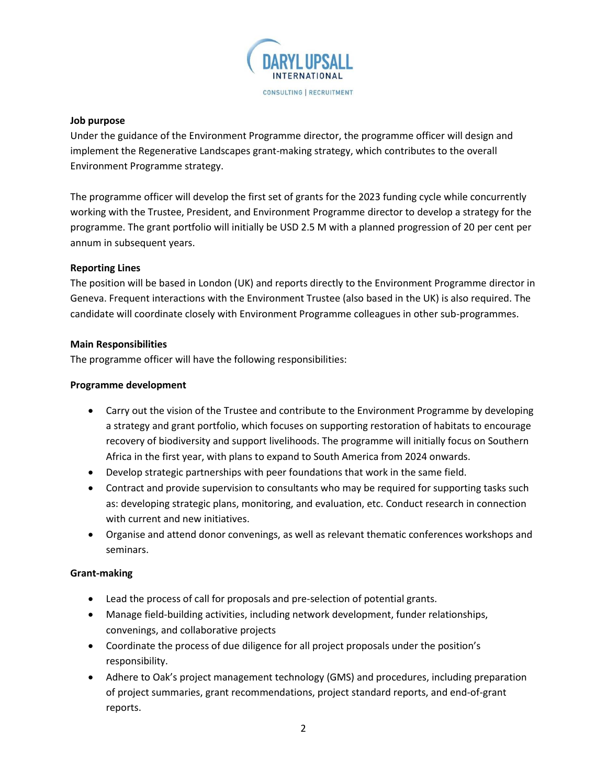

#### **Job purpose**

Under the guidance of the Environment Programme director, the programme officer will design and implement the Regenerative Landscapes grant-making strategy, which contributes to the overall Environment Programme strategy.

The programme officer will develop the first set of grants for the 2023 funding cycle while concurrently working with the Trustee, President, and Environment Programme director to develop a strategy for the programme. The grant portfolio will initially be USD 2.5 M with a planned progression of 20 per cent per annum in subsequent years.

#### **Reporting Lines**

The position will be based in London (UK) and reports directly to the Environment Programme director in Geneva. Frequent interactions with the Environment Trustee (also based in the UK) is also required. The candidate will coordinate closely with Environment Programme colleagues in other sub-programmes.

#### **Main Responsibilities**

The programme officer will have the following responsibilities:

#### **Programme development**

- Carry out the vision of the Trustee and contribute to the Environment Programme by developing a strategy and grant portfolio, which focuses on supporting restoration of habitats to encourage recovery of biodiversity and support livelihoods. The programme will initially focus on Southern Africa in the first year, with plans to expand to South America from 2024 onwards.
- Develop strategic partnerships with peer foundations that work in the same field.
- Contract and provide supervision to consultants who may be required for supporting tasks such as: developing strategic plans, monitoring, and evaluation, etc. Conduct research in connection with current and new initiatives.
- Organise and attend donor convenings, as well as relevant thematic conferences workshops and seminars.

#### **Grant-making**

- Lead the process of call for proposals and pre-selection of potential grants.
- Manage field-building activities, including network development, funder relationships, convenings, and collaborative projects
- Coordinate the process of due diligence for all project proposals under the position's responsibility.
- Adhere to Oak's project management technology (GMS) and procedures, including preparation of project summaries, grant recommendations, project standard reports, and end-of-grant reports.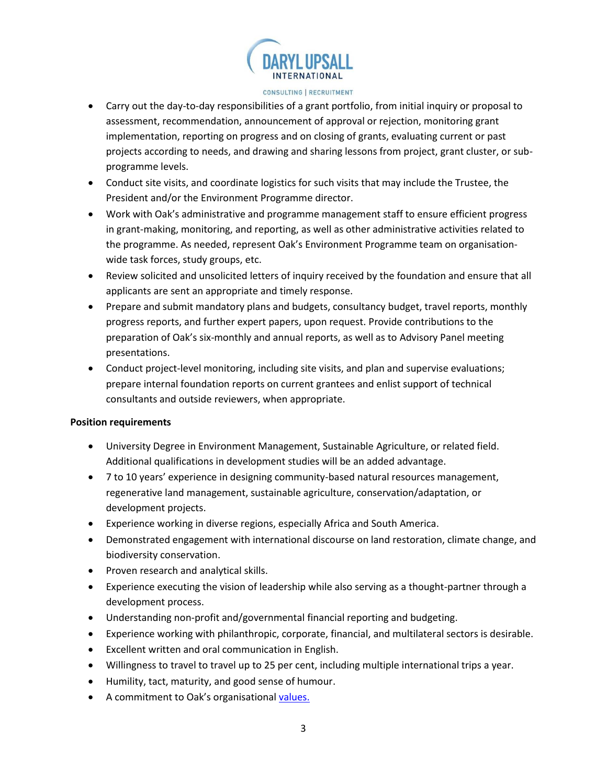

#### CONSULTING | RECRUITMENT

- Carry out the day-to-day responsibilities of a grant portfolio, from initial inquiry or proposal to assessment, recommendation, announcement of approval or rejection, monitoring grant implementation, reporting on progress and on closing of grants, evaluating current or past projects according to needs, and drawing and sharing lessons from project, grant cluster, or subprogramme levels.
- Conduct site visits, and coordinate logistics for such visits that may include the Trustee, the President and/or the Environment Programme director.
- Work with Oak's administrative and programme management staff to ensure efficient progress in grant-making, monitoring, and reporting, as well as other administrative activities related to the programme. As needed, represent Oak's Environment Programme team on organisationwide task forces, study groups, etc.
- Review solicited and unsolicited letters of inquiry received by the foundation and ensure that all applicants are sent an appropriate and timely response.
- Prepare and submit mandatory plans and budgets, consultancy budget, travel reports, monthly progress reports, and further expert papers, upon request. Provide contributions to the preparation of Oak's six-monthly and annual reports, as well as to Advisory Panel meeting presentations.
- Conduct project-level monitoring, including site visits, and plan and supervise evaluations; prepare internal foundation reports on current grantees and enlist support of technical consultants and outside reviewers, when appropriate.

#### **Position requirements**

- University Degree in Environment Management, Sustainable Agriculture, or related field. Additional qualifications in development studies will be an added advantage.
- 7 to 10 years' experience in designing community-based natural resources management, regenerative land management, sustainable agriculture, conservation/adaptation, or development projects.
- Experience working in diverse regions, especially Africa and South America.
- Demonstrated engagement with international discourse on land restoration, climate change, and biodiversity conservation.
- Proven research and analytical skills.
- Experience executing the vision of leadership while also serving as a thought-partner through a development process.
- Understanding non-profit and/governmental financial reporting and budgeting.
- Experience working with philanthropic, corporate, financial, and multilateral sectors is desirable.
- Excellent written and oral communication in English.
- Willingness to travel to travel up to 25 per cent, including multiple international trips a year.
- Humility, tact, maturity, and good sense of humour.
- A commitment to Oak's organisational [values.](https://oakfnd.org/values-mission-history/)